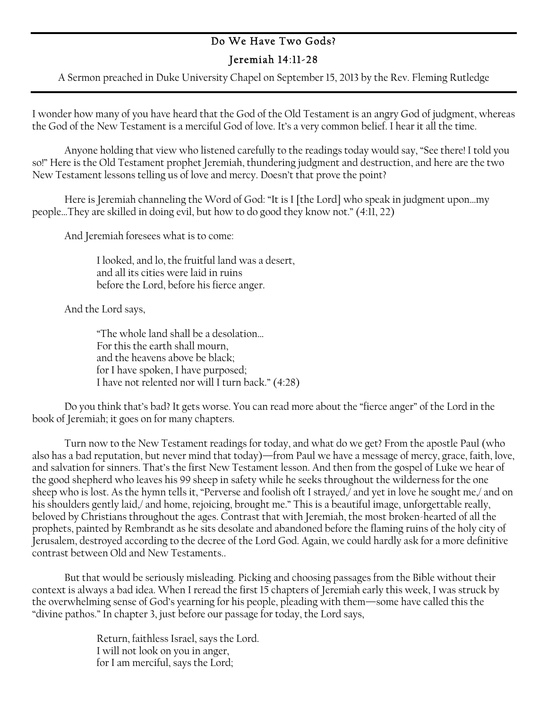## Do We Have Two Gods? Jeremiah 14:11-28

A Sermon preached in Duke University Chapel on September 15, 2013 by the Rev. Fleming Rutledge

I wonder how many of you have heard that the God of the Old Testament is an angry God of judgment, whereas the God of the New Testament is a merciful God of love. It's a very common belief. I hear it all the time.

Anyone holding that view who listened carefully to the readings today would say, "See there! I told you so!" Here is the Old Testament prophet Jeremiah, thundering judgment and destruction, and here are the two New Testament lessons telling us of love and mercy. Doesn't that prove the point?

Here is Jeremiah channeling the Word of God: "It is I [the Lord] who speak in judgment upon…my people…They are skilled in doing evil, but how to do good they know not." (4:11, 22)

And Jeremiah foresees what is to come:

I looked, and lo, the fruitful land was a desert, and all its cities were laid in ruins before the Lord, before his fierce anger.

And the Lord says,

"The whole land shall be a desolation… For this the earth shall mourn, and the heavens above be black; for I have spoken, I have purposed; I have not relented nor will I turn back." (4:28)

Do you think that's bad? It gets worse. You can read more about the "fierce anger" of the Lord in the book of Jeremiah; it goes on for many chapters.

Turn now to the New Testament readings for today, and what do we get? From the apostle Paul (who also has a bad reputation, but never mind that today)—from Paul we have a message of mercy, grace, faith, love, and salvation for sinners. That's the first New Testament lesson. And then from the gospel of Luke we hear of the good shepherd who leaves his 99 sheep in safety while he seeks throughout the wilderness for the one sheep who is lost. As the hymn tells it, "Perverse and foolish oft I strayed,/ and yet in love he sought me,/ and on his shoulders gently laid,/ and home, rejoicing, brought me." This is a beautiful image, unforgettable really, beloved by Christians throughout the ages. Contrast that with Jeremiah, the most broken-hearted of all the prophets, painted by Rembrandt as he sits desolate and abandoned before the flaming ruins of the holy city of Jerusalem, destroyed according to the decree of the Lord God. Again, we could hardly ask for a more definitive contrast between Old and New Testaments..

But that would be seriously misleading. Picking and choosing passages from the Bible without their context is always a bad idea. When I reread the first 15 chapters of Jeremiah early this week, I was struck by the overwhelming sense of God's yearning for his people, pleading with them—some have called this the "divine pathos." In chapter 3, just before our passage for today, the Lord says,

> Return, faithless Israel, says the Lord. I will not look on you in anger, for I am merciful, says the Lord;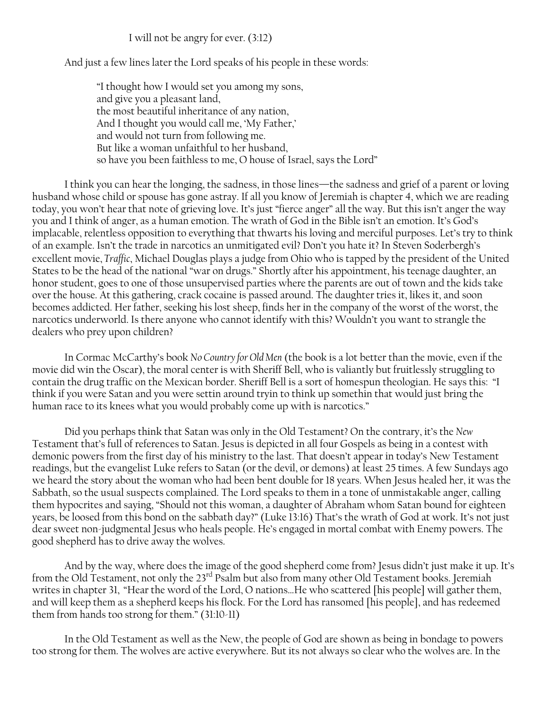I will not be angry for ever. (3:12)

And just a few lines later the Lord speaks of his people in these words:

"I thought how I would set you among my sons, and give you a pleasant land, the most beautiful inheritance of any nation, And I thought you would call me, 'My Father,' and would not turn from following me. But like a woman unfaithful to her husband, so have you been faithless to me, O house of Israel, says the Lord"

I think you can hear the longing, the sadness, in those lines—the sadness and grief of a parent or loving husband whose child or spouse has gone astray. If all you know of Jeremiah is chapter 4, which we are reading today, you won't hear that note of grieving love. It's just "fierce anger" all the way. But this isn't anger the way you and I think of anger, as a human emotion. The wrath of God in the Bible isn't an emotion. It's God's implacable, relentless opposition to everything that thwarts his loving and merciful purposes. Let's try to think of an example. Isn't the trade in narcotics an unmitigated evil? Don't you hate it? In Steven Soderbergh's excellent movie, *Traffic*, Michael Douglas plays a judge from Ohio who is tapped by the president of the United States to be the head of the national "war on drugs." Shortly after his appointment, his teenage daughter, an honor student, goes to one of those unsupervised parties where the parents are out of town and the kids take over the house. At this gathering, crack cocaine is passed around. The daughter tries it, likes it, and soon becomes addicted. Her father, seeking his lost sheep, finds her in the company of the worst of the worst, the narcotics underworld. Is there anyone who cannot identify with this? Wouldn't you want to strangle the dealers who prey upon children?

In Cormac McCarthy's book *No Country for Old Men* (the book is a lot better than the movie, even if the movie did win the Oscar), the moral center is with Sheriff Bell, who is valiantly but fruitlessly struggling to contain the drug traffic on the Mexican border. Sheriff Bell is a sort of homespun theologian. He says this: "I think if you were Satan and you were settin around tryin to think up somethin that would just bring the human race to its knees what you would probably come up with is narcotics."

Did you perhaps think that Satan was only in the Old Testament? On the contrary, it's the *New* Testament that's full of references to Satan. Jesus is depicted in all four Gospels as being in a contest with demonic powers from the first day of his ministry to the last. That doesn't appear in today's New Testament readings, but the evangelist Luke refers to Satan (or the devil, or demons) at least 25 times. A few Sundays ago we heard the story about the woman who had been bent double for 18 years. When Jesus healed her, it was the Sabbath, so the usual suspects complained. The Lord speaks to them in a tone of unmistakable anger, calling them hypocrites and saying, "Should not this woman, a daughter of Abraham whom Satan bound for eighteen years, be loosed from this bond on the sabbath day?" (Luke 13:16) That's the wrath of God at work. It's not just dear sweet non-judgmental Jesus who heals people. He's engaged in mortal combat with Enemy powers. The good shepherd has to drive away the wolves.

And by the way, where does the image of the good shepherd come from? Jesus didn't just make it up. It's from the Old Testament, not only the 23<sup>rd</sup> Psalm but also from many other Old Testament books. Jeremiah writes in chapter 31, "Hear the word of the Lord, O nations…He who scattered [his people] will gather them, and will keep them as a shepherd keeps his flock. For the Lord has ransomed [his people], and has redeemed them from hands too strong for them." (31:10-11)

In the Old Testament as well as the New, the people of God are shown as being in bondage to powers too strong for them. The wolves are active everywhere. But its not always so clear who the wolves are. In the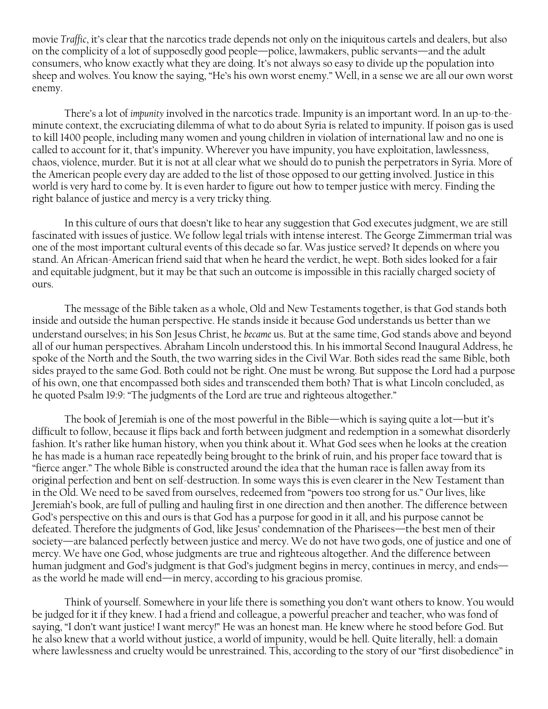movie *Traffic*, it's clear that the narcotics trade depends not only on the iniquitous cartels and dealers, but also on the complicity of a lot of supposedly good people—police, lawmakers, public servants—and the adult consumers, who know exactly what they are doing. It's not always so easy to divide up the population into sheep and wolves. You know the saying, "He's his own worst enemy." Well, in a sense we are all our own worst enemy.

There's a lot of *impunity* involved in the narcotics trade. Impunity is an important word. In an up-to-theminute context, the excruciating dilemma of what to do about Syria is related to impunity. If poison gas is used to kill 1400 people, including many women and young children in violation of international law and no one is called to account for it, that's impunity. Wherever you have impunity, you have exploitation, lawlessness, chaos, violence, murder. But it is not at all clear what we should do to punish the perpetrators in Syria. More of the American people every day are added to the list of those opposed to our getting involved. Justice in this world is very hard to come by. It is even harder to figure out how to temper justice with mercy. Finding the right balance of justice and mercy is a very tricky thing.

In this culture of ours that doesn't like to hear any suggestion that God executes judgment, we are still fascinated with issues of justice. We follow legal trials with intense interest. The George Zimmerman trial was one of the most important cultural events of this decade so far. Was justice served? It depends on where you stand. An African-American friend said that when he heard the verdict, he wept. Both sides looked for a fair and equitable judgment, but it may be that such an outcome is impossible in this racially charged society of ours.

The message of the Bible taken as a whole, Old and New Testaments together, is that God stands both inside and outside the human perspective. He stands inside it because God understands us better than we understand ourselves; in his Son Jesus Christ, he *became* us. But at the same time, God stands above and beyond all of our human perspectives. Abraham Lincoln understood this. In his immortal Second Inaugural Address, he spoke of the North and the South, the two warring sides in the Civil War. Both sides read the same Bible, both sides prayed to the same God. Both could not be right. One must be wrong. But suppose the Lord had a purpose of his own, one that encompassed both sides and transcended them both? That is what Lincoln concluded, as he quoted Psalm 19:9: "The judgments of the Lord are true and righteous altogether."

The book of Jeremiah is one of the most powerful in the Bible—which is saying quite a lot—but it's difficult to follow, because it flips back and forth between judgment and redemption in a somewhat disorderly fashion. It's rather like human history, when you think about it. What God sees when he looks at the creation he has made is a human race repeatedly being brought to the brink of ruin, and his proper face toward that is "fierce anger." The whole Bible is constructed around the idea that the human race is fallen away from its original perfection and bent on self-destruction. In some ways this is even clearer in the New Testament than in the Old. We need to be saved from ourselves, redeemed from "powers too strong for us." Our lives, like Jeremiah's book, are full of pulling and hauling first in one direction and then another. The difference between God's perspective on this and ours is that God has a purpose for good in it all, and his purpose cannot be defeated. Therefore the judgments of God, like Jesus' condemnation of the Pharisees—the best men of their society—are balanced perfectly between justice and mercy. We do not have two gods, one of justice and one of mercy. We have one God, whose judgments are true and righteous altogether. And the difference between human judgment and God's judgment is that God's judgment begins in mercy, continues in mercy, and ends as the world he made will end—in mercy, according to his gracious promise.

Think of yourself. Somewhere in your life there is something you don't want others to know. You would be judged for it if they knew. I had a friend and colleague, a powerful preacher and teacher, who was fond of saying, "I don't want justice! I want mercy!" He was an honest man. He knew where he stood before God. But he also knew that a world without justice, a world of impunity, would be hell. Quite literally, hell: a domain where lawlessness and cruelty would be unrestrained. This, according to the story of our "first disobedience" in